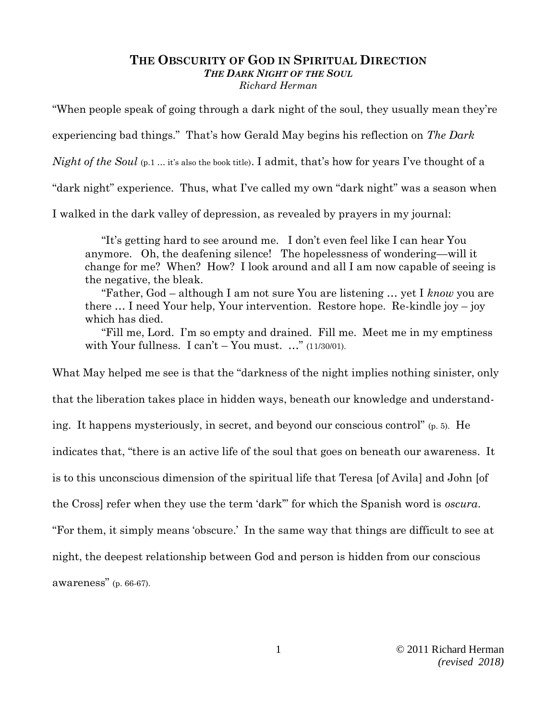## **THE OBSCURITY OF GOD IN SPIRITUAL DIRECTION**  *THE DARK NIGHT OF THE SOUL Richard Herman*

"When people speak of going through a dark night of the soul, they usually mean they're

experiencing bad things." That's how Gerald May begins his reflection on *The Dark* 

*Night of the Soul* (p.1 ... it's also the book title). I admit, that's how for years I've thought of a

"dark night" experience. Thus, what I've called my own "dark night" was a season when

I walked in the dark valley of depression, as revealed by prayers in my journal:

"It's getting hard to see around me. I don't even feel like I can hear You anymore. Oh, the deafening silence! The hopelessness of wondering—will it change for me? When? How? I look around and all I am now capable of seeing is the negative, the bleak.

"Father, God – although I am not sure You are listening … yet I *know* you are there … I need Your help, Your intervention. Restore hope. Re-kindle joy – joy which has died.

"Fill me, Lord. I'm so empty and drained. Fill me. Meet me in my emptiness with Your fullness. I can't – You must. ..."  $(11/30/01)$ .

What May helped me see is that the "darkness of the night implies nothing sinister, only

that the liberation takes place in hidden ways, beneath our knowledge and understand-

ing. It happens mysteriously, in secret, and beyond our conscious control"  $(p, 5)$ . He

indicates that, "there is an active life of the soul that goes on beneath our awareness. It

is to this unconscious dimension of the spiritual life that Teresa [of Avila] and John [of

the Cross] refer when they use the term 'dark'" for which the Spanish word is *oscura*.

"For them, it simply means 'obscure.' In the same way that things are difficult to see at

night, the deepest relationship between God and person is hidden from our conscious

awareness" (p. 66-67).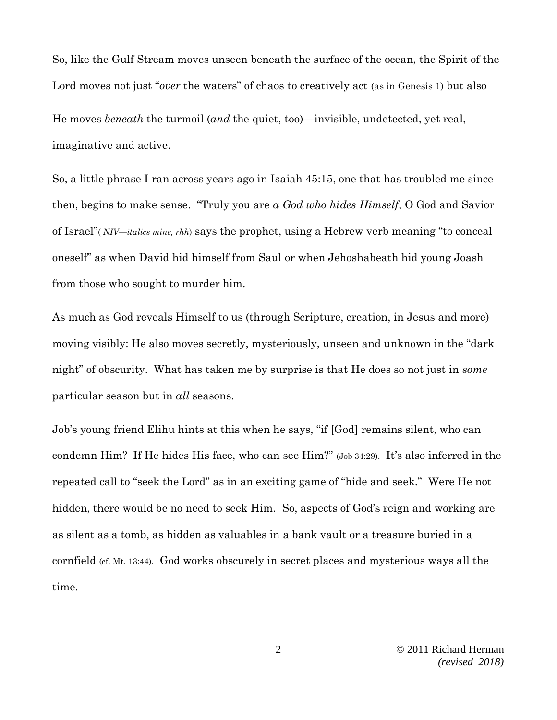So, like the Gulf Stream moves unseen beneath the surface of the ocean, the Spirit of the Lord moves not just "*over* the waters" of chaos to creatively act (as in Genesis 1) but also He moves *beneath* the turmoil (*and* the quiet, too)—invisible, undetected, yet real,

imaginative and active.

So, a little phrase I ran across years ago in Isaiah 45:15, one that has troubled me since then, begins to make sense. "Truly you are *a God who hides Himself*, O God and Savior of Israel"( *NIV—italics mine, rhh*) says the prophet, using a Hebrew verb meaning "to conceal oneself" as when David hid himself from Saul or when Jehoshabeath hid young Joash from those who sought to murder him.

As much as God reveals Himself to us (through Scripture, creation, in Jesus and more) moving visibly: He also moves secretly, mysteriously, unseen and unknown in the "dark night" of obscurity. What has taken me by surprise is that He does so not just in *some*  particular season but in *all* seasons.

Job's young friend Elihu hints at this when he says, "if [God] remains silent, who can condemn Him? If He hides His face, who can see Him?" (Job 34:29). It's also inferred in the repeated call to "seek the Lord" as in an exciting game of "hide and seek." Were He not hidden, there would be no need to seek Him. So, aspects of God's reign and working are as silent as a tomb, as hidden as valuables in a bank vault or a treasure buried in a cornfield (cf. Mt. 13:44). God works obscurely in secret places and mysterious ways all the time.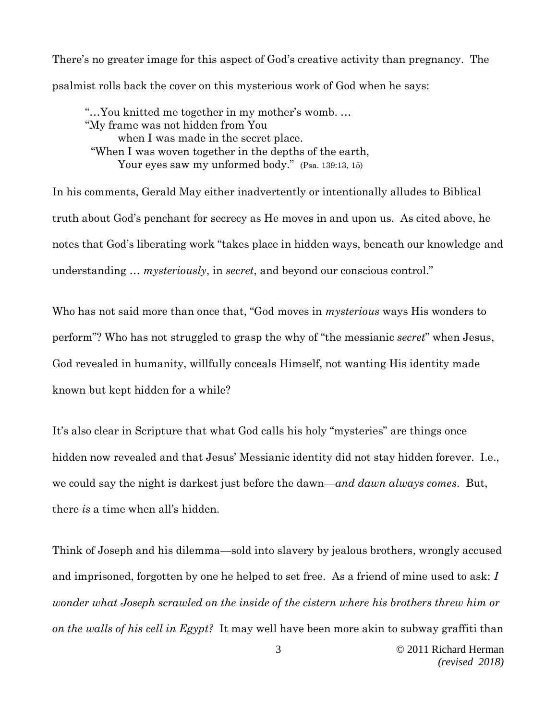There's no greater image for this aspect of God's creative activity than pregnancy. The psalmist rolls back the cover on this mysterious work of God when he says:

"…You knitted me together in my mother's womb. … "My frame was not hidden from You when I was made in the secret place. "When I was woven together in the depths of the earth, Your eyes saw my unformed body." (Psa. 139:13, 15)

In his comments, Gerald May either inadvertently or intentionally alludes to Biblical truth about God's penchant for secrecy as He moves in and upon us. As cited above, he notes that God's liberating work "takes place in hidden ways, beneath our knowledge and understanding … *mysteriously*, in *secret*, and beyond our conscious control."

Who has not said more than once that, "God moves in *mysterious* ways His wonders to perform"? Who has not struggled to grasp the why of "the messianic *secret*" when Jesus, God revealed in humanity, willfully conceals Himself, not wanting His identity made known but kept hidden for a while?

It's also clear in Scripture that what God calls his holy "mysteries" are things once hidden now revealed and that Jesus' Messianic identity did not stay hidden forever. I.e., we could say the night is darkest just before the dawn—*and dawn always comes*. But, there *is* a time when all's hidden.

Think of Joseph and his dilemma—sold into slavery by jealous brothers, wrongly accused and imprisoned, forgotten by one he helped to set free. As a friend of mine used to ask: *I wonder what Joseph scrawled on the inside of the cistern where his brothers threw him or on the walls of his cell in Egypt?* It may well have been more akin to subway graffiti than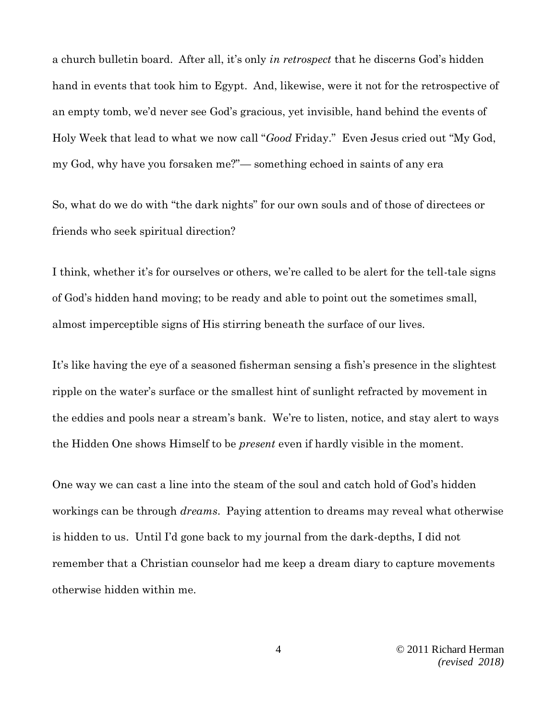a church bulletin board. After all, it's only *in retrospect* that he discerns God's hidden hand in events that took him to Egypt. And, likewise, were it not for the retrospective of an empty tomb, we'd never see God's gracious, yet invisible, hand behind the events of Holy Week that lead to what we now call "*Good* Friday." Even Jesus cried out "My God, my God, why have you forsaken me?"— something echoed in saints of any era

So, what do we do with "the dark nights" for our own souls and of those of directees or friends who seek spiritual direction?

I think, whether it's for ourselves or others, we're called to be alert for the tell-tale signs of God's hidden hand moving; to be ready and able to point out the sometimes small, almost imperceptible signs of His stirring beneath the surface of our lives.

It's like having the eye of a seasoned fisherman sensing a fish's presence in the slightest ripple on the water's surface or the smallest hint of sunlight refracted by movement in the eddies and pools near a stream's bank. We're to listen, notice, and stay alert to ways the Hidden One shows Himself to be *present* even if hardly visible in the moment.

One way we can cast a line into the steam of the soul and catch hold of God's hidden workings can be through *dreams*. Paying attention to dreams may reveal what otherwise is hidden to us. Until I'd gone back to my journal from the dark-depths, I did not remember that a Christian counselor had me keep a dream diary to capture movements otherwise hidden within me.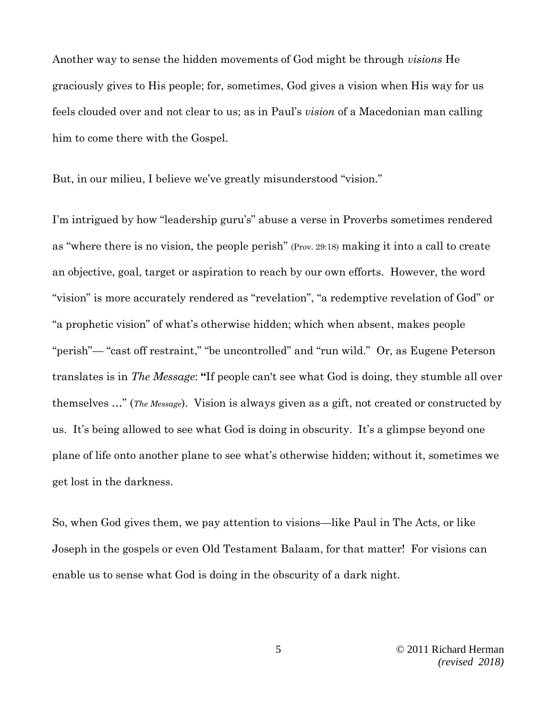Another way to sense the hidden movements of God might be through *visions* He graciously gives to His people; for, sometimes, God gives a vision when His way for us feels clouded over and not clear to us; as in Paul's *vision* of a Macedonian man calling him to come there with the Gospel.

But, in our milieu, I believe we've greatly misunderstood "vision."

I'm intrigued by how "leadership guru's" abuse a verse in Proverbs sometimes rendered as "where there is no vision, the people perish" (Prov. 29:18) making it into a call to create an objective, goal, target or aspiration to reach by our own efforts. However, the word "vision" is more accurately rendered as "revelation", "a redemptive revelation of God" or "a prophetic vision" of what's otherwise hidden; which when absent, makes people "perish"— "cast off restraint," "be uncontrolled" and "run wild." Or, as Eugene Peterson translates is in *The Message*: **"**If people can't see what God is doing, they stumble all over themselves …" (*The Message*). Vision is always given as a gift, not created or constructed by us. It's being allowed to see what God is doing in obscurity. It's a glimpse beyond one plane of life onto another plane to see what's otherwise hidden; without it, sometimes we get lost in the darkness.

So, when God gives them, we pay attention to visions—like Paul in The Acts, or like Joseph in the gospels or even Old Testament Balaam, for that matter! For visions can enable us to sense what God is doing in the obscurity of a dark night.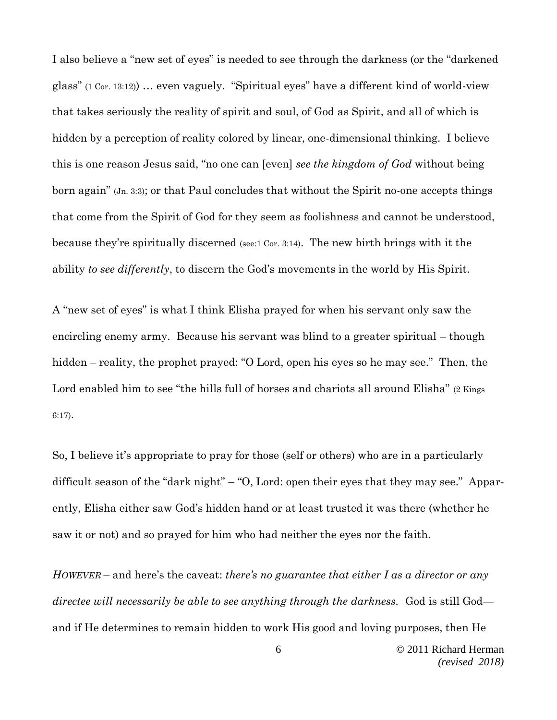I also believe a "new set of eyes" is needed to see through the darkness (or the "darkened glass" (1 Cor. 13:12)) … even vaguely. "Spiritual eyes" have a different kind of world-view that takes seriously the reality of spirit and soul, of God as Spirit, and all of which is hidden by a perception of reality colored by linear, one-dimensional thinking. I believe this is one reason Jesus said, "no one can [even] *see the kingdom of God* without being born again" (Jn. 3:3); or that Paul concludes that without the Spirit no-one accepts things that come from the Spirit of God for they seem as foolishness and cannot be understood, because they're spiritually discerned (see:1 Cor. 3:14). The new birth brings with it the ability *to see differently*, to discern the God's movements in the world by His Spirit.

A "new set of eyes" is what I think Elisha prayed for when his servant only saw the encircling enemy army. Because his servant was blind to a greater spiritual – though hidden – reality, the prophet prayed: "O Lord, open his eyes so he may see." Then, the Lord enabled him to see "the hills full of horses and chariots all around Elisha" (2 Kings 6:17).

So, I believe it's appropriate to pray for those (self or others) who are in a particularly difficult season of the "dark night" – "O, Lord: open their eyes that they may see." Apparently, Elisha either saw God's hidden hand or at least trusted it was there (whether he saw it or not) and so prayed for him who had neither the eyes nor the faith.

*HOWEVER* – and here's the caveat: *there's no guarantee that either I as a director or any directee will necessarily be able to see anything through the darkness.* God is still God and if He determines to remain hidden to work His good and loving purposes, then He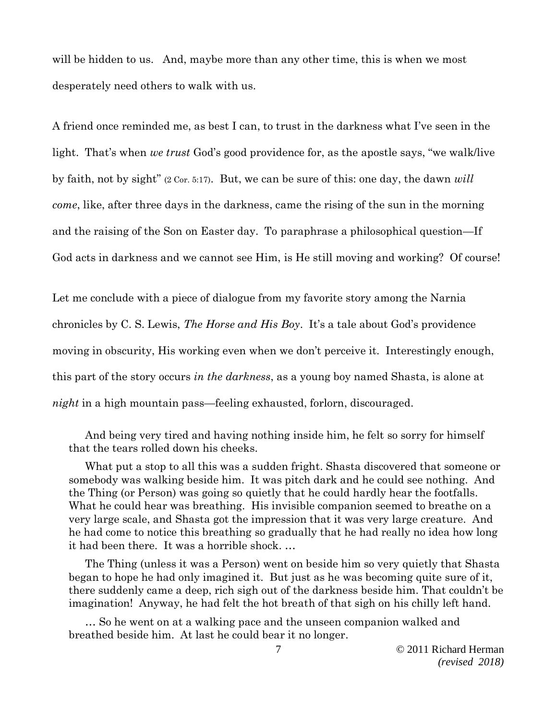will be hidden to us. And, maybe more than any other time, this is when we most desperately need others to walk with us.

A friend once reminded me, as best I can, to trust in the darkness what I've seen in the light. That's when *we trust* God's good providence for, as the apostle says, "we walk/live by faith, not by sight" (2 Cor. 5:17). But, we can be sure of this: one day, the dawn *will come*, like, after three days in the darkness, came the rising of the sun in the morning and the raising of the Son on Easter day. To paraphrase a philosophical question—If God acts in darkness and we cannot see Him, is He still moving and working? Of course!

Let me conclude with a piece of dialogue from my favorite story among the Narnia chronicles by C. S. Lewis, *The Horse and His Boy*. It's a tale about God's providence moving in obscurity, His working even when we don't perceive it. Interestingly enough, this part of the story occurs *in the darkness*, as a young boy named Shasta, is alone at *night* in a high mountain pass—feeling exhausted, forlorn, discouraged.

And being very tired and having nothing inside him, he felt so sorry for himself that the tears rolled down his cheeks.

What put a stop to all this was a sudden fright. Shasta discovered that someone or somebody was walking beside him. It was pitch dark and he could see nothing. And the Thing (or Person) was going so quietly that he could hardly hear the footfalls. What he could hear was breathing. His invisible companion seemed to breathe on a very large scale, and Shasta got the impression that it was very large creature. And he had come to notice this breathing so gradually that he had really no idea how long it had been there. It was a horrible shock. …

The Thing (unless it was a Person) went on beside him so very quietly that Shasta began to hope he had only imagined it. But just as he was becoming quite sure of it, there suddenly came a deep, rich sigh out of the darkness beside him. That couldn't be imagination! Anyway, he had felt the hot breath of that sigh on his chilly left hand.

… So he went on at a walking pace and the unseen companion walked and breathed beside him. At last he could bear it no longer.

7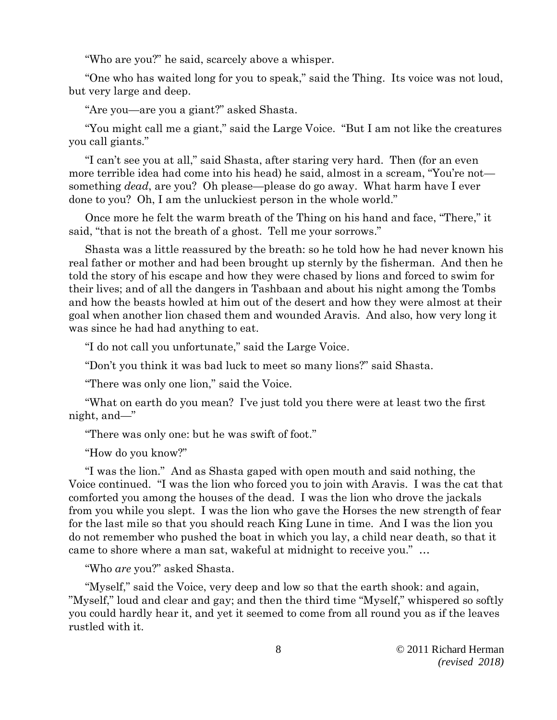"Who are you?" he said, scarcely above a whisper.

"One who has waited long for you to speak," said the Thing. Its voice was not loud, but very large and deep.

"Are you—are you a giant?" asked Shasta.

"You might call me a giant," said the Large Voice. "But I am not like the creatures you call giants."

"I can't see you at all," said Shasta, after staring very hard. Then (for an even more terrible idea had come into his head) he said, almost in a scream, "You're not something *dead*, are you? Oh please—please do go away. What harm have I ever done to you? Oh, I am the unluckiest person in the whole world."

Once more he felt the warm breath of the Thing on his hand and face, "There," it said, "that is not the breath of a ghost. Tell me your sorrows."

Shasta was a little reassured by the breath: so he told how he had never known his real father or mother and had been brought up sternly by the fisherman. And then he told the story of his escape and how they were chased by lions and forced to swim for their lives; and of all the dangers in Tashbaan and about his night among the Tombs and how the beasts howled at him out of the desert and how they were almost at their goal when another lion chased them and wounded Aravis. And also, how very long it was since he had had anything to eat.

"I do not call you unfortunate," said the Large Voice.

"Don't you think it was bad luck to meet so many lions?" said Shasta.

"There was only one lion," said the Voice.

"What on earth do you mean? I've just told you there were at least two the first night, and—"

"There was only one: but he was swift of foot."

"How do you know?"

"I was the lion." And as Shasta gaped with open mouth and said nothing, the Voice continued. "I was the lion who forced you to join with Aravis. I was the cat that comforted you among the houses of the dead. I was the lion who drove the jackals from you while you slept. I was the lion who gave the Horses the new strength of fear for the last mile so that you should reach King Lune in time. And I was the lion you do not remember who pushed the boat in which you lay, a child near death, so that it came to shore where a man sat, wakeful at midnight to receive you." …

"Who *are* you?" asked Shasta.

"Myself," said the Voice, very deep and low so that the earth shook: and again, "Myself," loud and clear and gay; and then the third time "Myself," whispered so softly you could hardly hear it, and yet it seemed to come from all round you as if the leaves rustled with it.